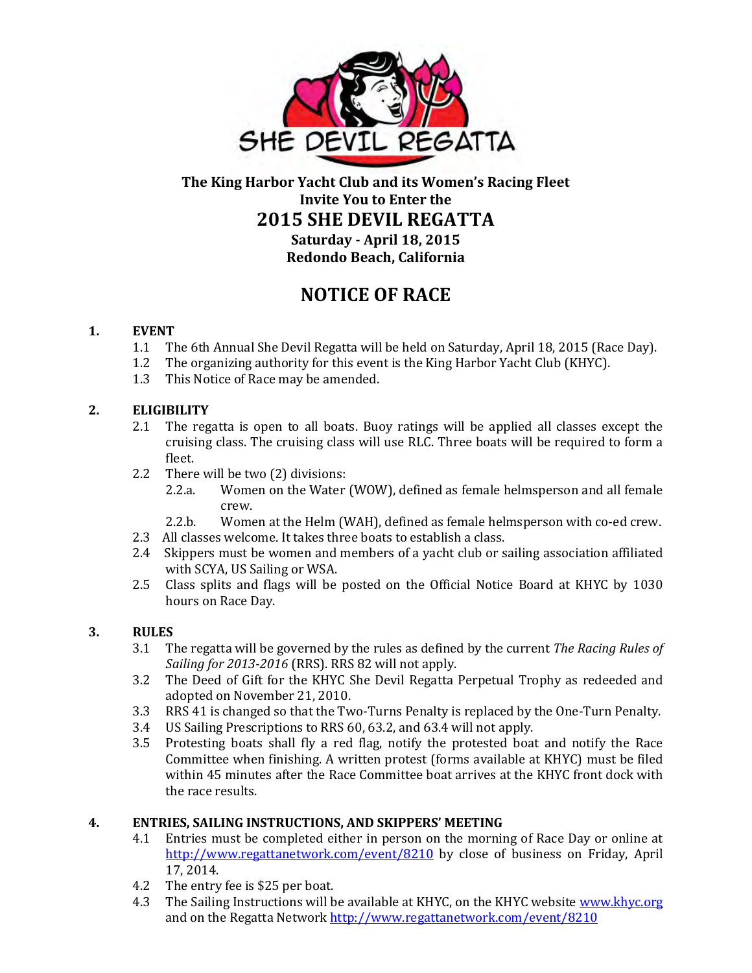

# **The King Harbor Yacht Club and its Women's Racing Fleet Invite You to Enter the 2015 SHE DEVIL REGATTA Saturday - April 18, 2015 Redondo Beach, California**

**NOTICE OF RACE** 

## **1. EVENT**

- 1.1 The 6th Annual She Devil Regatta will be held on Saturday, April 18, 2015 (Race Day).
- 1.2 The organizing authority for this event is the King Harbor Yacht Club (KHYC).
- 1.3 This Notice of Race may be amended.

### **2. ELIGIBILITY**

- 2.1 The regatta is open to all boats. Buoy ratings will be applied all classes except the cruising class. The cruising class will use RLC. Three boats will be required to form a fleet.
- 2.2 There will be two (2) divisions:
	- 2.2.a. Women on the Water (WOW), defined as female helmsperson and all female crew.
	- 2.2.b. Women at the Helm (WAH), defined as female helmsperson with co-ed crew.
- 2.3 All classes welcome. It takes three boats to establish a class.
- 2.4 Skippers must be women and members of a yacht club or sailing association affiliated with SCYA, US Sailing or WSA.
- 2.5 Class splits and flags will be posted on the Official Notice Board at KHYC by 1030 hours on Race Day.

#### **3. RULES**

- 3.1 The regatta will be governed by the rules as defined by the current *The Racing Rules of Sailing for 2013-2016* (RRS). RRS 82 will not apply.
- 3.2 The Deed of Gift for the KHYC She Devil Regatta Perpetual Trophy as redeeded and adopted on November 21, 2010.
- 3.3 RRS 41 is changed so that the Two-Turns Penalty is replaced by the One-Turn Penalty.
- 3.4 US Sailing Prescriptions to RRS 60, 63.2, and 63.4 will not apply.
- 3.5 Protesting boats shall fly a red flag, notify the protested boat and notify the Race Committee when finishing. A written protest (forms available at KHYC) must be filed within 45 minutes after the Race Committee boat arrives at the KHYC front dock with the race results.

#### **4. ENTRIES, SAILING INSTRUCTIONS, AND SKIPPERS' MEETING**

- 4.1 Entries must be completed either in person on the morning of Race Day or online at <http://www.regattanetwork.com/event/8210>by close of business on Friday, April 17, 2014.
- 4.2 The entry fee is \$25 per boat.
- 4.3 The Sailing Instructions will be available at KHYC, on the KHYC website [www.khyc.org](http://www.khyc.org/) and on the Regatta Network<http://www.regattanetwork.com/event/8210>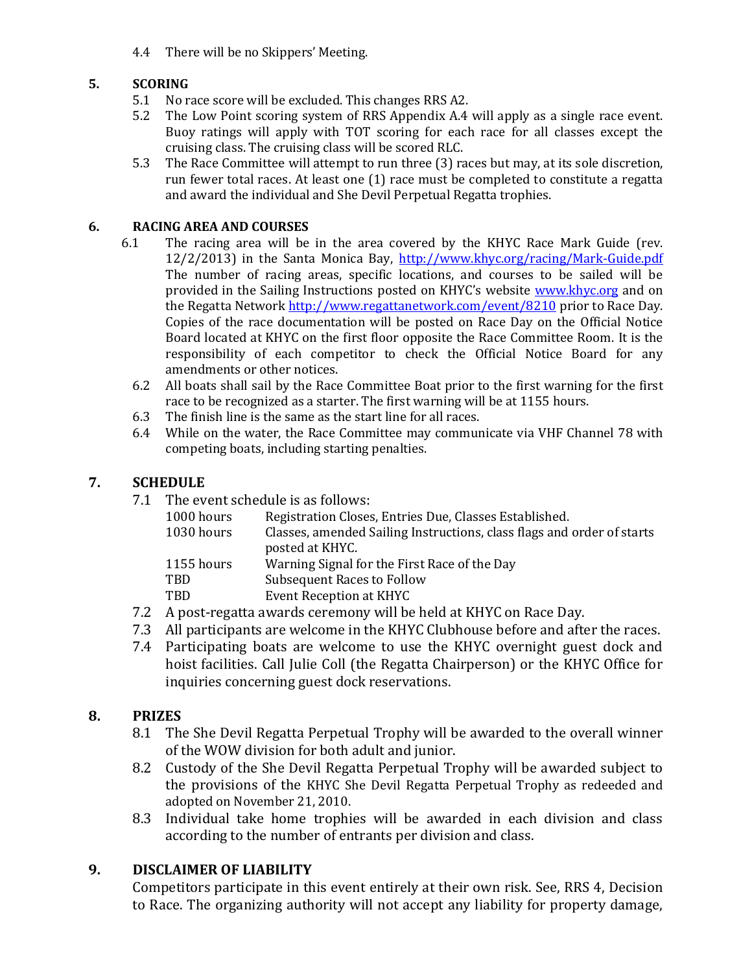4.4 There will be no Skippers' Meeting.

### **5. SCORING**

- 5.1 No race score will be excluded. This changes RRS A2.
- 5.2 The Low Point scoring system of RRS Appendix A.4 will apply as a single race event. Buoy ratings will apply with TOT scoring for each race for all classes except the cruising class. The cruising class will be scored RLC.
- 5.3 The Race Committee will attempt to run three (3) races but may, at its sole discretion, run fewer total races. At least one (1) race must be completed to constitute a regatta and award the individual and She Devil Perpetual Regatta trophies.

#### **6. RACING AREA AND COURSES**

- 6.1 The racing area will be in the area covered by the KHYC Race Mark Guide (rev. 12/2/2013) in the Santa Monica Bay, <http://www.khyc.org/racing/Mark-Guide.pdf> The number of racing areas, specific locations, and courses to be sailed will be provided in the Sailing Instructions posted on KHYC's website [www.khyc.org](http://www.khyc.org/) and on the Regatta Network<http://www.regattanetwork.com/event/8210> prior to Race Day. Copies of the race documentation will be posted on Race Day on the Official Notice Board located at KHYC on the first floor opposite the Race Committee Room. It is the responsibility of each competitor to check the Official Notice Board for any amendments or other notices.
	- 6.2 All boats shall sail by the Race Committee Boat prior to the first warning for the first race to be recognized as a starter. The first warning will be at 1155 hours.
	- 6.3 The finish line is the same as the start line for all races.
	- 6.4 While on the water, the Race Committee may communicate via VHF Channel 78 with competing boats, including starting penalties.

## **7. SCHEDULE**

7.1 The event schedule is as follows:

| 1000 hours | Registration Closes, Entries Due, Classes Established.                 |
|------------|------------------------------------------------------------------------|
| 1030 hours | Classes, amended Sailing Instructions, class flags and order of starts |
|            | posted at KHYC.                                                        |
| 1155 hours | Warning Signal for the First Race of the Day                           |
| <b>TBD</b> | <b>Subsequent Races to Follow</b>                                      |
| <b>TBD</b> | Event Reception at KHYC                                                |
|            |                                                                        |

- 7.2 A post-regatta awards ceremony will be held at KHYC on Race Day.
- 7.3 All participants are welcome in the KHYC Clubhouse before and after the races.
- 7.4 Participating boats are welcome to use the KHYC overnight guest dock and hoist facilities. Call Julie Coll (the Regatta Chairperson) or the KHYC Office for inquiries concerning guest dock reservations.

## **8. PRIZES**

- 8.1 The She Devil Regatta Perpetual Trophy will be awarded to the overall winner of the WOW division for both adult and junior.
- 8.2 Custody of the She Devil Regatta Perpetual Trophy will be awarded subject to the provisions of the KHYC She Devil Regatta Perpetual Trophy as redeeded and adopted on November 21, 2010.
- 8.3 Individual take home trophies will be awarded in each division and class according to the number of entrants per division and class.

## **9. DISCLAIMER OF LIABILITY**

Competitors participate in this event entirely at their own risk. See, RRS 4, Decision to Race. The organizing authority will not accept any liability for property damage,